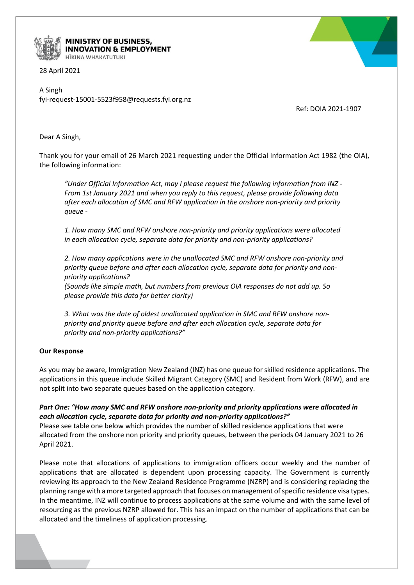

MINISTRY OF BUSINESS, **INNOVATION & EMPLOYMENT** HĪKINA WHAKATUTUKI

28 April 2021

A Singh fyi-request-15001-5523f958@requests.fyi.org.nz

Ref: DOIA 2021-1907

Dear A Singh,

Thank you for your email of 26 March 2021 requesting under the Official Information Act 1982 (the OIA), the following information:

*"Under Official Information Act, may I please request the following information from INZ - From 1st January 2021 and when you reply to this request, please provide following data after each allocation of SMC and RFW application in the onshore non-priority and priority queue -* 

*1. How many SMC and RFW onshore non-priority and priority applications were allocated in each allocation cycle, separate data for priority and non-priority applications?*

*2. How many applications were in the unallocated SMC and RFW onshore non-priority and priority queue before and after each allocation cycle, separate data for priority and nonpriority applications?*

*(Sounds like simple math, but numbers from previous OIA responses do not add up. So please provide this data for better clarity)*

*3. What was the date of oldest unallocated application in SMC and RFW onshore nonpriority and priority queue before and after each allocation cycle, separate data for priority and non-priority applications?"*

## **Our Response**

As you may be aware, Immigration New Zealand (INZ) has one queue for skilled residence applications. The applications in this queue include Skilled Migrant Category (SMC) and Resident from Work (RFW), and are not split into two separate queues based on the application category.

## *Part One: "How many SMC and RFW onshore non-priority and priority applications were allocated in each allocation cycle, separate data for priority and non-priority applications?"*

Please see table one below which provides the number of skilled residence applications that were allocated from the onshore non priority and priority queues, between the periods 04 January 2021 to 26 April 2021.

Please note that allocations of applications to immigration officers occur weekly and the number of applications that are allocated is dependent upon processing capacity. The Government is currently reviewing its approach to the New Zealand Residence Programme (NZRP) and is considering replacing the planning range with a more targeted approach that focuses on management of specific residence visa types. In the meantime, INZ will continue to process applications at the same volume and with the same level of resourcing as the previous NZRP allowed for. This has an impact on the number of applications that can be allocated and the timeliness of application processing.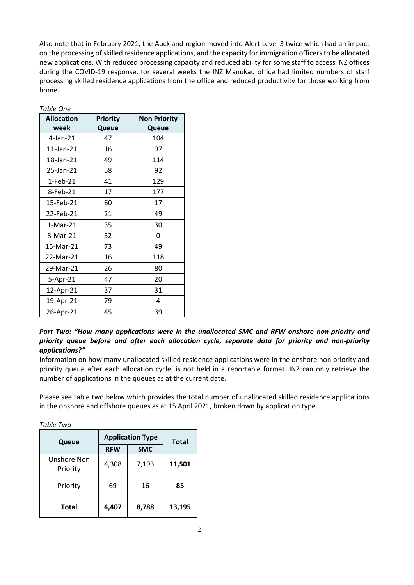Also note that in February 2021, the Auckland region moved into Alert Level 3 twice which had an impact on the processing of skilled residence applications, and the capacity for immigration officers to be allocated new applications. With reduced processing capacity and reduced ability for some staff to access INZ offices during the COVID-19 response, for several weeks the INZ Manukau office had limited numbers of staff processing skilled residence applications from the office and reduced productivity for those working from home.

| <b>Allocation</b> | <b>Priority</b> | <b>Non Priority</b> |  |
|-------------------|-----------------|---------------------|--|
| week              | Queue           | Queue               |  |
| $4$ -Jan- $21$    | 47              | 104                 |  |
| 11-Jan-21         | 16              | 97                  |  |
| 18-Jan-21         | 49              | 114                 |  |
| 25-Jan-21         | 58              | 92                  |  |
| 1-Feb-21          | 41              | 129                 |  |
| 8-Feb-21          | 17              | 177                 |  |
| 15-Feb-21         | 60              | 17                  |  |
| 22-Feb-21         | 21              | 49                  |  |
| 1-Mar-21          | 35              | 30                  |  |
| 8-Mar-21          | 52              | 0                   |  |
| 15-Mar-21         | 73              | 49                  |  |
| 22-Mar-21         | 16              | 118                 |  |
| 29-Mar-21         | 26              | 80                  |  |
| 5-Apr-21          | 47              | 20                  |  |
| 12-Apr-21         | 37              | 31                  |  |
| 19-Apr-21         | 79              | 4                   |  |
| 26-Apr-21         | 45              | 39                  |  |

*Table One*

## *Part Two: "How many applications were in the unallocated SMC and RFW onshore non-priority and priority queue before and after each allocation cycle, separate data for priority and non-priority applications?"*

Information on how many unallocated skilled residence applications were in the onshore non priority and priority queue after each allocation cycle, is not held in a reportable format. INZ can only retrieve the number of applications in the queues as at the current date.

Please see table two below which provides the total number of unallocated skilled residence applications in the onshore and offshore queues as at 15 April 2021, broken down by application type.

*Table Two*

| Queue                   | <b>Application Type</b> |            | <b>Total</b> |
|-------------------------|-------------------------|------------|--------------|
|                         | <b>RFW</b>              | <b>SMC</b> |              |
| Onshore Non<br>Priority | 4,308                   | 7,193      | 11,501       |
| Priority                | 69                      | 16         | 85           |
| <b>Total</b>            | 4,407                   | 8,788      | 13,195       |